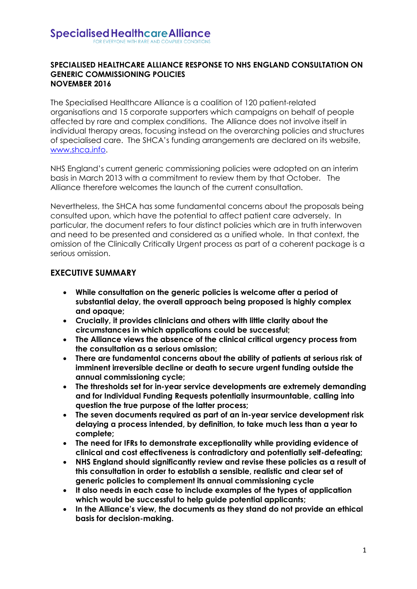#### **SPECIALISED HEALTHCARE ALLIANCE RESPONSE TO NHS ENGLAND CONSULTATION ON GENERIC COMMISSIONING POLICIES NOVEMBER 2016**

The Specialised Healthcare Alliance is a coalition of 120 patient-related organisations and 15 corporate supporters which campaigns on behalf of people affected by rare and complex conditions. The Alliance does not involve itself in individual therapy areas, focusing instead on the overarching policies and structures of specialised care. The SHCA's funding arrangements are declared on its website, [www.shca.info.](http://www.shca.info/)

NHS England's current generic commissioning policies were adopted on an interim basis in March 2013 with a commitment to review them by that October. The Alliance therefore welcomes the launch of the current consultation.

Nevertheless, the SHCA has some fundamental concerns about the proposals being consulted upon, which have the potential to affect patient care adversely. In particular, the document refers to four distinct policies which are in truth interwoven and need to be presented and considered as a unified whole. In that context, the omission of the Clinically Critically Urgent process as part of a coherent package is a serious omission.

#### **EXECUTIVE SUMMARY**

- **While consultation on the generic policies is welcome after a period of substantial delay, the overall approach being proposed is highly complex and opaque;**
- **Crucially, it provides clinicians and others with little clarity about the circumstances in which applications could be successful;**
- **The Alliance views the absence of the clinical critical urgency process from the consultation as a serious omission;**
- **There are fundamental concerns about the ability of patients at serious risk of imminent irreversible decline or death to secure urgent funding outside the annual commissioning cycle;**
- **The thresholds set for in-year service developments are extremely demanding and for Individual Funding Requests potentially insurmountable, calling into question the true purpose of the latter process;**
- **The seven documents required as part of an in-year service development risk delaying a process intended, by definition, to take much less than a year to complete;**
- **The need for IFRs to demonstrate exceptionality while providing evidence of clinical and cost effectiveness is contradictory and potentially self-defeating;**
- **NHS England should significantly review and revise these policies as a result of this consultation in order to establish a sensible, realistic and clear set of generic policies to complement its annual commissioning cycle**
- **It also needs in each case to include examples of the types of application which would be successful to help guide potential applicants;**
- **In the Alliance's view, the documents as they stand do not provide an ethical basis for decision-making.**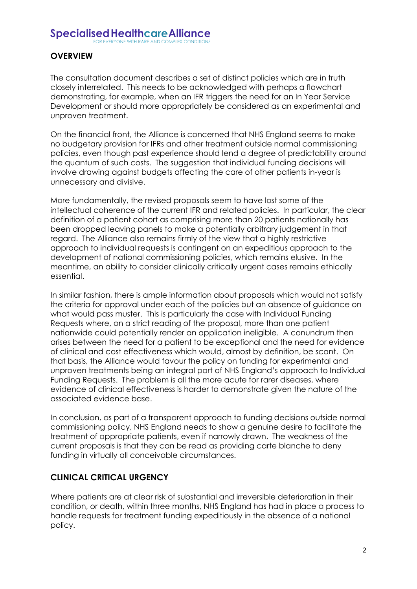OR EVERYONE WITH RARE AND COMPLEX CONDITION

# **OVERVIEW**

The consultation document describes a set of distinct policies which are in truth closely interrelated. This needs to be acknowledged with perhaps a flowchart demonstrating, for example, when an IFR triggers the need for an In Year Service Development or should more appropriately be considered as an experimental and unproven treatment.

On the financial front, the Alliance is concerned that NHS England seems to make no budgetary provision for IFRs and other treatment outside normal commissioning policies, even though past experience should lend a degree of predictability around the quantum of such costs. The suggestion that individual funding decisions will involve drawing against budgets affecting the care of other patients in-year is unnecessary and divisive.

More fundamentally, the revised proposals seem to have lost some of the intellectual coherence of the current IFR and related policies. In particular, the clear definition of a patient cohort as comprising more than 20 patients nationally has been dropped leaving panels to make a potentially arbitrary judgement in that regard. The Alliance also remains firmly of the view that a highly restrictive approach to individual requests is contingent on an expeditious approach to the development of national commissioning policies, which remains elusive. In the meantime, an ability to consider clinically critically urgent cases remains ethically essential.

In similar fashion, there is ample information about proposals which would not satisfy the criteria for approval under each of the policies but an absence of guidance on what would pass muster. This is particularly the case with Individual Funding Requests where, on a strict reading of the proposal, more than one patient nationwide could potentially render an application ineligible. A conundrum then arises between the need for a patient to be exceptional and the need for evidence of clinical and cost effectiveness which would, almost by definition, be scant. On that basis, the Alliance would favour the policy on funding for experimental and unproven treatments being an integral part of NHS England's approach to Individual Funding Requests. The problem is all the more acute for rarer diseases, where evidence of clinical effectiveness is harder to demonstrate given the nature of the associated evidence base.

In conclusion, as part of a transparent approach to funding decisions outside normal commissioning policy, NHS England needs to show a genuine desire to facilitate the treatment of appropriate patients, even if narrowly drawn. The weakness of the current proposals is that they can be read as providing carte blanche to deny funding in virtually all conceivable circumstances.

# **CLINICAL CRITICAL URGENCY**

Where patients are at clear risk of substantial and irreversible deterioration in their condition, or death, within three months, NHS England has had in place a process to handle requests for treatment funding expeditiously in the absence of a national policy.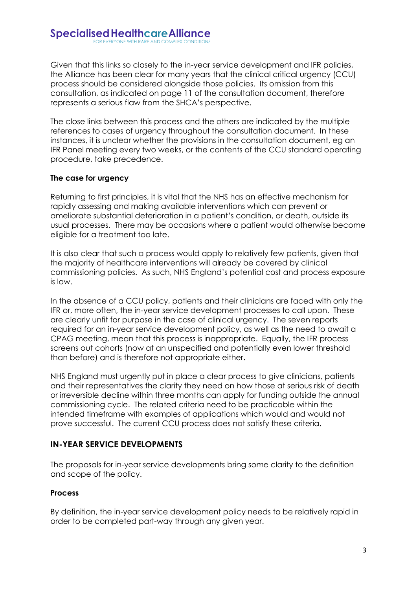Given that this links so closely to the in-year service development and IFR policies, the Alliance has been clear for many years that the clinical critical urgency (CCU) process should be considered alongside those policies. Its omission from this consultation, as indicated on page 11 of the consultation document, therefore represents a serious flaw from the SHCA's perspective.

The close links between this process and the others are indicated by the multiple references to cases of urgency throughout the consultation document. In these instances, it is unclear whether the provisions in the consultation document, eg an IFR Panel meeting every two weeks, or the contents of the CCU standard operating procedure, take precedence.

#### **The case for urgency**

Returning to first principles, it is vital that the NHS has an effective mechanism for rapidly assessing and making available interventions which can prevent or ameliorate substantial deterioration in a patient's condition, or death, outside its usual processes. There may be occasions where a patient would otherwise become eligible for a treatment too late.

It is also clear that such a process would apply to relatively few patients, given that the majority of healthcare interventions will already be covered by clinical commissioning policies. As such, NHS England's potential cost and process exposure is low.

In the absence of a CCU policy, patients and their clinicians are faced with only the IFR or, more often, the in-year service development processes to call upon. These are clearly unfit for purpose in the case of clinical urgency. The seven reports required for an in-year service development policy, as well as the need to await a CPAG meeting, mean that this process is inappropriate. Equally, the IFR process screens out cohorts (now at an unspecified and potentially even lower threshold than before) and is therefore not appropriate either.

NHS England must urgently put in place a clear process to give clinicians, patients and their representatives the clarity they need on how those at serious risk of death or irreversible decline within three months can apply for funding outside the annual commissioning cycle. The related criteria need to be practicable within the intended timeframe with examples of applications which would and would not prove successful. The current CCU process does not satisfy these criteria.

# **IN-YEAR SERVICE DEVELOPMENTS**

The proposals for in-year service developments bring some clarity to the definition and scope of the policy.

# **Process**

By definition, the in-year service development policy needs to be relatively rapid in order to be completed part-way through any given year.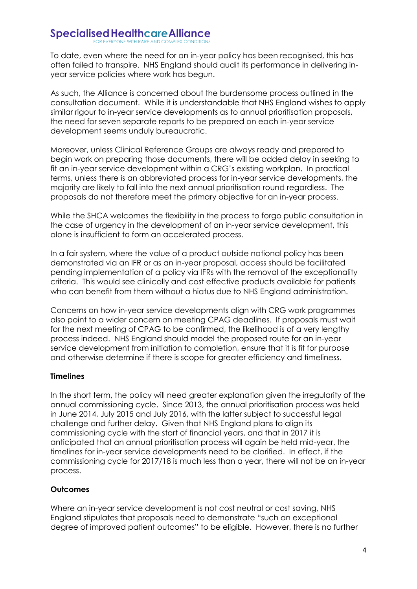To date, even where the need for an in-year policy has been recognised, this has often failed to transpire. NHS England should audit its performance in delivering inyear service policies where work has begun.

As such, the Alliance is concerned about the burdensome process outlined in the consultation document. While it is understandable that NHS England wishes to apply similar rigour to in-year service developments as to annual prioritisation proposals, the need for seven separate reports to be prepared on each in-year service development seems unduly bureaucratic.

Moreover, unless Clinical Reference Groups are always ready and prepared to begin work on preparing those documents, there will be added delay in seeking to fit an in-year service development within a CRG's existing workplan. In practical terms, unless there is an abbreviated process for in-year service developments, the majority are likely to fall into the next annual prioritisation round regardless. The proposals do not therefore meet the primary objective for an in-year process.

While the SHCA welcomes the flexibility in the process to forgo public consultation in the case of urgency in the development of an in-year service development, this alone is insufficient to form an accelerated process.

In a fair system, where the value of a product outside national policy has been demonstrated via an IFR or as an in-year proposal, access should be facilitated pending implementation of a policy via IFRs with the removal of the exceptionality criteria. This would see clinically and cost effective products available for patients who can benefit from them without a hiatus due to NHS England administration.

Concerns on how in-year service developments align with CRG work programmes also point to a wider concern on meeting CPAG deadlines. If proposals must wait for the next meeting of CPAG to be confirmed, the likelihood is of a very lengthy process indeed. NHS England should model the proposed route for an in-year service development from initiation to completion, ensure that it is fit for purpose and otherwise determine if there is scope for greater efficiency and timeliness.

#### **Timelines**

In the short term, the policy will need greater explanation given the irregularity of the annual commissioning cycle. Since 2013, the annual prioritisation process was held in June 2014, July 2015 and July 2016, with the latter subject to successful legal challenge and further delay. Given that NHS England plans to align its commissioning cycle with the start of financial years, and that in 2017 it is anticipated that an annual prioritisation process will again be held mid-year, the timelines for in-year service developments need to be clarified. In effect, if the commissioning cycle for 2017/18 is much less than a year, there will not be an in-year process.

#### **Outcomes**

Where an in-year service development is not cost neutral or cost saving, NHS England stipulates that proposals need to demonstrate "such an exceptional degree of improved patient outcomes" to be eligible. However, there is no further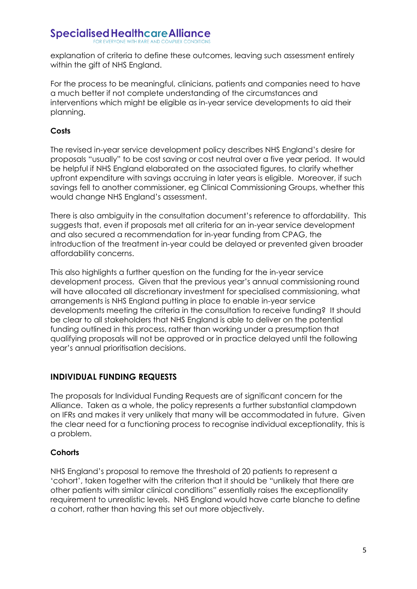explanation of criteria to define these outcomes, leaving such assessment entirely within the gift of NHS England.

For the process to be meaningful, clinicians, patients and companies need to have a much better if not complete understanding of the circumstances and interventions which might be eligible as in-year service developments to aid their planning.

### **Costs**

The revised in-year service development policy describes NHS England's desire for proposals "usually" to be cost saving or cost neutral over a five year period. It would be helpful if NHS England elaborated on the associated figures, to clarify whether upfront expenditure with savings accruing in later years is eligible. Moreover, if such savings fell to another commissioner, eg Clinical Commissioning Groups, whether this would change NHS England's assessment.

There is also ambiguity in the consultation document's reference to affordability. This suggests that, even if proposals met all criteria for an in-year service development and also secured a recommendation for in-year funding from CPAG, the introduction of the treatment in-year could be delayed or prevented given broader affordability concerns.

This also highlights a further question on the funding for the in-year service development process. Given that the previous year's annual commissioning round will have allocated all discretionary investment for specialised commissioning, what arrangements is NHS England putting in place to enable in-year service developments meeting the criteria in the consultation to receive funding? It should be clear to all stakeholders that NHS England is able to deliver on the potential funding outlined in this process, rather than working under a presumption that qualifying proposals will not be approved or in practice delayed until the following year's annual prioritisation decisions.

# **INDIVIDUAL FUNDING REQUESTS**

The proposals for Individual Funding Requests are of significant concern for the Alliance. Taken as a whole, the policy represents a further substantial clampdown on IFRs and makes it very unlikely that many will be accommodated in future. Given the clear need for a functioning process to recognise individual exceptionality, this is a problem.

# **Cohorts**

NHS England's proposal to remove the threshold of 20 patients to represent a 'cohort', taken together with the criterion that it should be "unlikely that there are other patients with similar clinical conditions" essentially raises the exceptionality requirement to unrealistic levels. NHS England would have carte blanche to define a cohort, rather than having this set out more objectively.